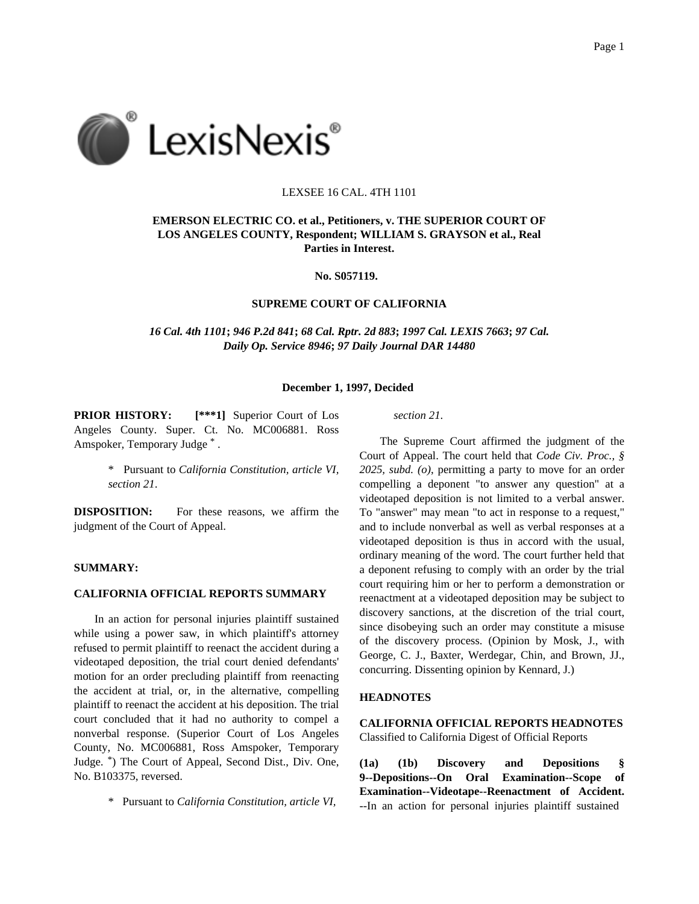

### LEXSEE 16 CAL. 4TH 1101

# **EMERSON ELECTRIC CO. et al., Petitioners, v. THE SUPERIOR COURT OF LOS ANGELES COUNTY, Respondent; WILLIAM S. GRAYSON et al., Real Parties in Interest.**

**No. S057119.**

### **SUPREME COURT OF CALIFORNIA**

*16 Cal. 4th 1101***;** *946 P.2d 841***;** *68 Cal. Rptr. 2d 883***;** *1997 Cal. LEXIS 7663***;** *97 Cal. Daily Op. Service 8946***;** *97 Daily Journal DAR 14480*

#### **December 1, 1997, Decided**

**PRIOR HISTORY: [\*\*\*1]** Superior Court of Los Angeles County. Super. Ct. No. MC006881. Ross Amspoker, Temporary Judge \* .

> \* Pursuant to *California Constitution, article VI, section 21*.

**DISPOSITION:** For these reasons, we affirm the judgment of the Court of Appeal.

## **SUMMARY:**

#### **CALIFORNIA OFFICIAL REPORTS SUMMARY**

In an action for personal injuries plaintiff sustained while using a power saw, in which plaintiff's attorney refused to permit plaintiff to reenact the accident during a videotaped deposition, the trial court denied defendants' motion for an order precluding plaintiff from reenacting the accident at trial, or, in the alternative, compelling plaintiff to reenact the accident at his deposition. The trial court concluded that it had no authority to compel a nonverbal response. (Superior Court of Los Angeles County, No. MC006881, Ross Amspoker, Temporary Judge. \*) The Court of Appeal, Second Dist., Div. One, No. B103375, reversed.

\* Pursuant to *California Constitution, article VI,*

*section 21*.

The Supreme Court affirmed the judgment of the Court of Appeal. The court held that *Code Civ. Proc., § 2025, subd. (o)*, permitting a party to move for an order compelling a deponent "to answer any question" at a videotaped deposition is not limited to a verbal answer. To "answer" may mean "to act in response to a request," and to include nonverbal as well as verbal responses at a videotaped deposition is thus in accord with the usual, ordinary meaning of the word. The court further held that a deponent refusing to comply with an order by the trial court requiring him or her to perform a demonstration or reenactment at a videotaped deposition may be subject to discovery sanctions, at the discretion of the trial court, since disobeying such an order may constitute a misuse of the discovery process. (Opinion by Mosk, J., with George, C. J., Baxter, Werdegar, Chin, and Brown, JJ., concurring. Dissenting opinion by Kennard, J.)

## **HEADNOTES**

**CALIFORNIA OFFICIAL REPORTS HEADNOTES** Classified to California Digest of Official Reports

**(1a) (1b) Discovery and Depositions § 9--Depositions--On Oral Examination--Scope of Examination--Videotape--Reenactment of Accident.** --In an action for personal injuries plaintiff sustained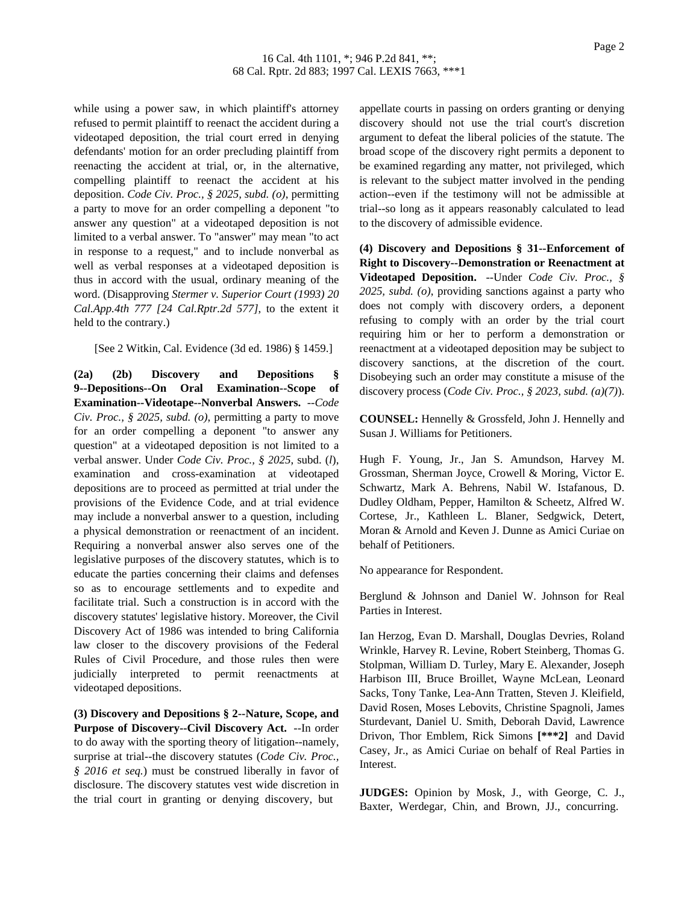while using a power saw, in which plaintiff's attorney refused to permit plaintiff to reenact the accident during a videotaped deposition, the trial court erred in denying defendants' motion for an order precluding plaintiff from reenacting the accident at trial, or, in the alternative, compelling plaintiff to reenact the accident at his deposition. *Code Civ. Proc., § 2025, subd. (o)*, permitting a party to move for an order compelling a deponent "to answer any question" at a videotaped deposition is not limited to a verbal answer. To "answer" may mean "to act in response to a request," and to include nonverbal as well as verbal responses at a videotaped deposition is thus in accord with the usual, ordinary meaning of the word. (Disapproving *Stermer v. Superior Court (1993) 20 Cal.App.4th 777 [24 Cal.Rptr.2d 577]*, to the extent it held to the contrary.)

[See 2 Witkin, Cal. Evidence (3d ed. 1986) § 1459.]

**(2a) (2b) Discovery and Depositions § 9--Depositions--On Oral Examination--Scope of Examination--Videotape--Nonverbal Answers.** --*Code Civ. Proc., § 2025, subd. (o)*, permitting a party to move for an order compelling a deponent "to answer any question" at a videotaped deposition is not limited to a verbal answer. Under *Code Civ. Proc., § 2025*, subd. (*l*), examination and cross-examination at videotaped depositions are to proceed as permitted at trial under the provisions of the Evidence Code, and at trial evidence may include a nonverbal answer to a question, including a physical demonstration or reenactment of an incident. Requiring a nonverbal answer also serves one of the legislative purposes of the discovery statutes, which is to educate the parties concerning their claims and defenses so as to encourage settlements and to expedite and facilitate trial. Such a construction is in accord with the discovery statutes' legislative history. Moreover, the Civil Discovery Act of 1986 was intended to bring California law closer to the discovery provisions of the Federal Rules of Civil Procedure, and those rules then were judicially interpreted to permit reenactments at videotaped depositions.

**(3) Discovery and Depositions § 2--Nature, Scope, and Purpose of Discovery--Civil Discovery Act.** --In order to do away with the sporting theory of litigation--namely, surprise at trial--the discovery statutes (*Code Civ. Proc., § 2016 et seq.*) must be construed liberally in favor of disclosure. The discovery statutes vest wide discretion in the trial court in granting or denying discovery, but

appellate courts in passing on orders granting or denying discovery should not use the trial court's discretion argument to defeat the liberal policies of the statute. The broad scope of the discovery right permits a deponent to be examined regarding any matter, not privileged, which is relevant to the subject matter involved in the pending action--even if the testimony will not be admissible at trial--so long as it appears reasonably calculated to lead to the discovery of admissible evidence.

**(4) Discovery and Depositions § 31--Enforcement of Right to Discovery--Demonstration or Reenactment at Videotaped Deposition.** --Under *Code Civ. Proc., § 2025, subd. (o)*, providing sanctions against a party who does not comply with discovery orders, a deponent refusing to comply with an order by the trial court requiring him or her to perform a demonstration or reenactment at a videotaped deposition may be subject to discovery sanctions, at the discretion of the court. Disobeying such an order may constitute a misuse of the discovery process (*Code Civ. Proc., § 2023, subd. (a)(7)*).

**COUNSEL:** Hennelly & Grossfeld, John J. Hennelly and Susan J. Williams for Petitioners.

Hugh F. Young, Jr., Jan S. Amundson, Harvey M. Grossman, Sherman Joyce, Crowell & Moring, Victor E. Schwartz, Mark A. Behrens, Nabil W. Istafanous, D. Dudley Oldham, Pepper, Hamilton & Scheetz, Alfred W. Cortese, Jr., Kathleen L. Blaner, Sedgwick, Detert, Moran & Arnold and Keven J. Dunne as Amici Curiae on behalf of Petitioners.

No appearance for Respondent.

Berglund & Johnson and Daniel W. Johnson for Real Parties in Interest.

Ian Herzog, Evan D. Marshall, Douglas Devries, Roland Wrinkle, Harvey R. Levine, Robert Steinberg, Thomas G. Stolpman, William D. Turley, Mary E. Alexander, Joseph Harbison III, Bruce Broillet, Wayne McLean, Leonard Sacks, Tony Tanke, Lea-Ann Tratten, Steven J. Kleifield, David Rosen, Moses Lebovits, Christine Spagnoli, James Sturdevant, Daniel U. Smith, Deborah David, Lawrence Drivon, Thor Emblem, Rick Simons **[\*\*\*2]** and David Casey, Jr., as Amici Curiae on behalf of Real Parties in Interest.

**JUDGES:** Opinion by Mosk, J., with George, C. J., Baxter, Werdegar, Chin, and Brown, JJ., concurring.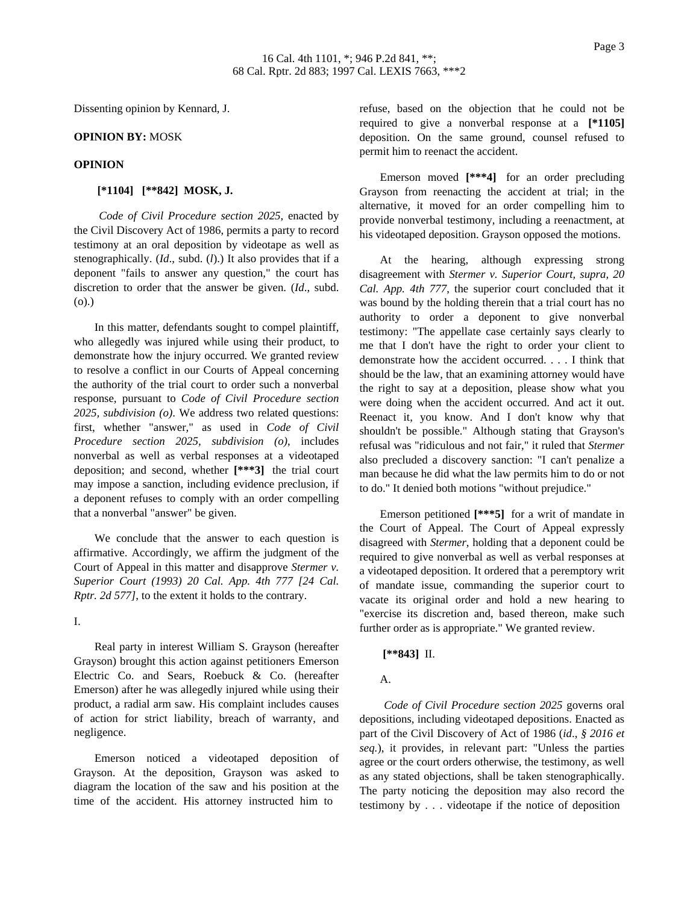Dissenting opinion by Kennard, J.

#### **OPINION BY:** MOSK

#### **OPINION**

#### **[\*1104] [\*\*842] MOSK, J.**

*Code of Civil Procedure section 2025*, enacted by the Civil Discovery Act of 1986, permits a party to record testimony at an oral deposition by videotape as well as stenographically. (*Id*., subd. (*l*).) It also provides that if a deponent "fails to answer any question," the court has discretion to order that the answer be given. (*Id*., subd. (o).)

In this matter, defendants sought to compel plaintiff, who allegedly was injured while using their product, to demonstrate how the injury occurred. We granted review to resolve a conflict in our Courts of Appeal concerning the authority of the trial court to order such a nonverbal response, pursuant to *Code of Civil Procedure section 2025, subdivision (o)*. We address two related questions: first, whether "answer," as used in *Code of Civil Procedure section 2025, subdivision (o)*, includes nonverbal as well as verbal responses at a videotaped deposition; and second, whether **[\*\*\*3]** the trial court may impose a sanction, including evidence preclusion, if a deponent refuses to comply with an order compelling that a nonverbal "answer" be given.

We conclude that the answer to each question is affirmative. Accordingly, we affirm the judgment of the Court of Appeal in this matter and disapprove *Stermer v. Superior Court (1993) 20 Cal. App. 4th 777 [24 Cal. Rptr. 2d 577]*, to the extent it holds to the contrary.

# I.

Real party in interest William S. Grayson (hereafter Grayson) brought this action against petitioners Emerson Electric Co. and Sears, Roebuck & Co. (hereafter Emerson) after he was allegedly injured while using their product, a radial arm saw. His complaint includes causes of action for strict liability, breach of warranty, and negligence.

Emerson noticed a videotaped deposition of Grayson. At the deposition, Grayson was asked to diagram the location of the saw and his position at the time of the accident. His attorney instructed him to

refuse, based on the objection that he could not be required to give a nonverbal response at a **[\*1105]** deposition. On the same ground, counsel refused to permit him to reenact the accident.

Emerson moved **[\*\*\*4]** for an order precluding Grayson from reenacting the accident at trial; in the alternative, it moved for an order compelling him to provide nonverbal testimony, including a reenactment, at his videotaped deposition. Grayson opposed the motions.

At the hearing, although expressing strong disagreement with *Stermer v. Superior Court, supra, 20 Cal. App. 4th 777*, the superior court concluded that it was bound by the holding therein that a trial court has no authority to order a deponent to give nonverbal testimony: "The appellate case certainly says clearly to me that I don't have the right to order your client to demonstrate how the accident occurred. . . . I think that should be the law, that an examining attorney would have the right to say at a deposition, please show what you were doing when the accident occurred. And act it out. Reenact it, you know. And I don't know why that shouldn't be possible." Although stating that Grayson's refusal was "ridiculous and not fair," it ruled that *Stermer* also precluded a discovery sanction: "I can't penalize a man because he did what the law permits him to do or not to do." It denied both motions "without prejudice."

Emerson petitioned **[\*\*\*5]** for a writ of mandate in the Court of Appeal. The Court of Appeal expressly disagreed with *Stermer*, holding that a deponent could be required to give nonverbal as well as verbal responses at a videotaped deposition. It ordered that a peremptory writ of mandate issue, commanding the superior court to vacate its original order and hold a new hearing to "exercise its discretion and, based thereon, make such further order as is appropriate." We granted review.

## **[\*\*843]** II.

## A.

*Code of Civil Procedure section 2025* governs oral depositions, including videotaped depositions. Enacted as part of the Civil Discovery of Act of 1986 (*id*., *§ 2016 et seq.*), it provides, in relevant part: "Unless the parties agree or the court orders otherwise, the testimony, as well as any stated objections, shall be taken stenographically. The party noticing the deposition may also record the testimony by . . . videotape if the notice of deposition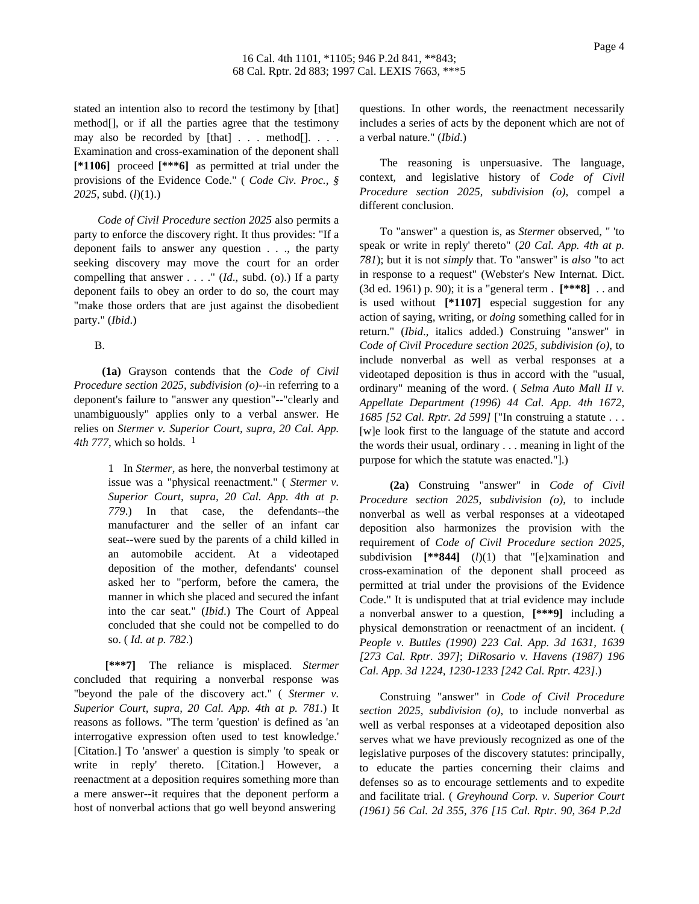stated an intention also to record the testimony by [that] method[], or if all the parties agree that the testimony may also be recorded by [that] . . . method[]. . . . Examination and cross-examination of the deponent shall **[\*1106]** proceed **[\*\*\*6]** as permitted at trial under the provisions of the Evidence Code." ( *Code Civ. Proc., § 2025*, subd. (*l*)(1).)

*Code of Civil Procedure section 2025* also permits a party to enforce the discovery right. It thus provides: "If a deponent fails to answer any question . . ., the party seeking discovery may move the court for an order compelling that answer . . . ." (*Id*., subd. (o).) If a party deponent fails to obey an order to do so, the court may "make those orders that are just against the disobedient party." (*Ibid*.)

## B.

**(1a)** Grayson contends that the *Code of Civil Procedure section 2025, subdivision (o)*--in referring to a deponent's failure to "answer any question"--"clearly and unambiguously" applies only to a verbal answer. He relies on *Stermer v. Superior Court, supra, 20 Cal. App. 4th 777*, which so holds.  $<sup>1</sup>$ </sup>

> 1 In *Stermer*, as here, the nonverbal testimony at issue was a "physical reenactment." ( *Stermer v. Superior Court, supra, 20 Cal. App. 4th at p. 779*.) In that case, the defendants--the manufacturer and the seller of an infant car seat--were sued by the parents of a child killed in an automobile accident. At a videotaped deposition of the mother, defendants' counsel asked her to "perform, before the camera, the manner in which she placed and secured the infant into the car seat." (*Ibid*.) The Court of Appeal concluded that she could not be compelled to do so. ( *Id. at p. 782*.)

**[\*\*\*7]** The reliance is misplaced. *Stermer* concluded that requiring a nonverbal response was "beyond the pale of the discovery act." ( *Stermer v. Superior Court, supra, 20 Cal. App. 4th at p. 781*.) It reasons as follows. "The term 'question' is defined as 'an interrogative expression often used to test knowledge.' [Citation.] To 'answer' a question is simply 'to speak or write in reply' thereto. [Citation.] However, a reenactment at a deposition requires something more than a mere answer--it requires that the deponent perform a host of nonverbal actions that go well beyond answering

questions. In other words, the reenactment necessarily includes a series of acts by the deponent which are not of a verbal nature." (*Ibid*.)

The reasoning is unpersuasive. The language, context, and legislative history of *Code of Civil Procedure section 2025, subdivision (o)*, compel a different conclusion.

To "answer" a question is, as *Stermer* observed, " 'to speak or write in reply' thereto" (*20 Cal. App. 4th at p. 781*); but it is not *simply* that. To "answer" is *also* "to act in response to a request" (Webster's New Internat. Dict. (3d ed. 1961) p. 90); it is a "general term . **[\*\*\*8]** . . and is used without **[\*1107]** especial suggestion for any action of saying, writing, or *doing* something called for in return." (*Ibid*., italics added.) Construing "answer" in *Code of Civil Procedure section 2025, subdivision (o)*, to include nonverbal as well as verbal responses at a videotaped deposition is thus in accord with the "usual, ordinary" meaning of the word. ( *Selma Auto Mall II v. Appellate Department (1996) 44 Cal. App. 4th 1672, 1685 [52 Cal. Rptr. 2d 599]* ["In construing a statute . . . [w]e look first to the language of the statute and accord the words their usual, ordinary . . . meaning in light of the purpose for which the statute was enacted."].)

**(2a)** Construing "answer" in *Code of Civil Procedure section 2025, subdivision (o)*, to include nonverbal as well as verbal responses at a videotaped deposition also harmonizes the provision with the requirement of *Code of Civil Procedure section 2025*, subdivision **[\*\*844]** (*l*)(1) that "[e]xamination and cross-examination of the deponent shall proceed as permitted at trial under the provisions of the Evidence Code." It is undisputed that at trial evidence may include a nonverbal answer to a question, **[\*\*\*9]** including a physical demonstration or reenactment of an incident. ( *People v. Buttles (1990) 223 Cal. App. 3d 1631, 1639 [273 Cal. Rptr. 397]*; *DiRosario v. Havens (1987) 196 Cal. App. 3d 1224, 1230-1233 [242 Cal. Rptr. 423]*.)

Construing "answer" in *Code of Civil Procedure section 2025, subdivision (o)*, to include nonverbal as well as verbal responses at a videotaped deposition also serves what we have previously recognized as one of the legislative purposes of the discovery statutes: principally, to educate the parties concerning their claims and defenses so as to encourage settlements and to expedite and facilitate trial. ( *Greyhound Corp. v. Superior Court (1961) 56 Cal. 2d 355, 376 [15 Cal. Rptr. 90, 364 P.2d*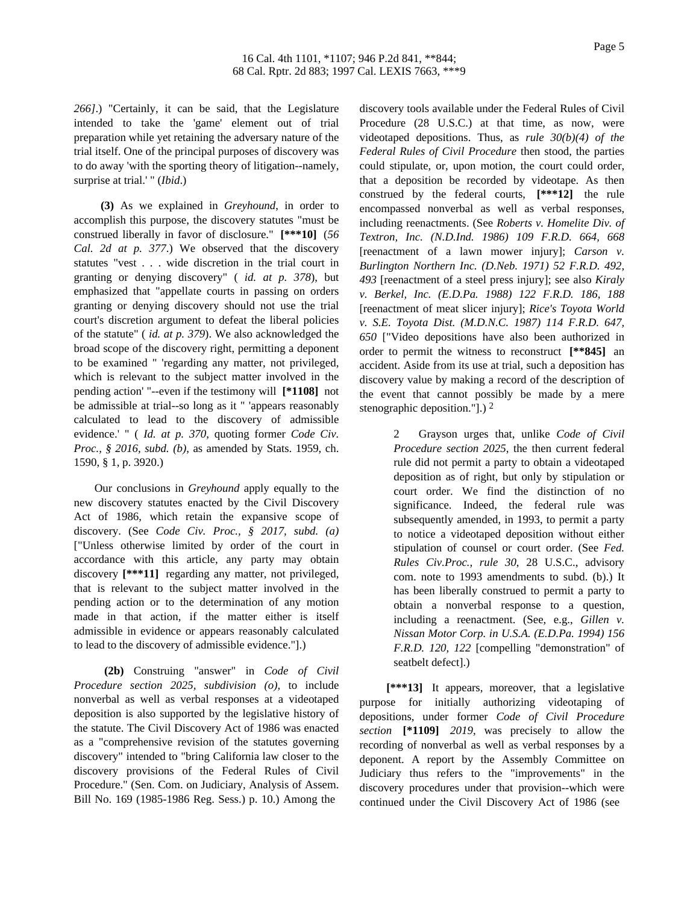*266]*.) "Certainly, it can be said, that the Legislature intended to take the 'game' element out of trial preparation while yet retaining the adversary nature of the trial itself. One of the principal purposes of discovery was to do away 'with the sporting theory of litigation--namely, surprise at trial.' " (*Ibid*.)

**(3)** As we explained in *Greyhound*, in order to accomplish this purpose, the discovery statutes "must be construed liberally in favor of disclosure." **[\*\*\*10]** (*56 Cal. 2d at p. 377*.) We observed that the discovery statutes "vest . . . wide discretion in the trial court in granting or denying discovery" ( *id. at p. 378*), but emphasized that "appellate courts in passing on orders granting or denying discovery should not use the trial court's discretion argument to defeat the liberal policies of the statute" ( *id. at p. 379*). We also acknowledged the broad scope of the discovery right, permitting a deponent to be examined " 'regarding any matter, not privileged, which is relevant to the subject matter involved in the pending action' "--even if the testimony will **[\*1108]** not be admissible at trial--so long as it " 'appears reasonably calculated to lead to the discovery of admissible evidence.' " ( *Id. at p. 370*, quoting former *Code Civ. Proc., § 2016, subd. (b)*, as amended by Stats. 1959, ch. 1590, § 1, p. 3920.)

Our conclusions in *Greyhound* apply equally to the new discovery statutes enacted by the Civil Discovery Act of 1986, which retain the expansive scope of discovery. (See *Code Civ. Proc., § 2017, subd. (a)* ["Unless otherwise limited by order of the court in accordance with this article, any party may obtain discovery **[\*\*\*11]** regarding any matter, not privileged, that is relevant to the subject matter involved in the pending action or to the determination of any motion made in that action, if the matter either is itself admissible in evidence or appears reasonably calculated to lead to the discovery of admissible evidence."].)

**(2b)** Construing "answer" in *Code of Civil Procedure section 2025, subdivision (o)*, to include nonverbal as well as verbal responses at a videotaped deposition is also supported by the legislative history of the statute. The Civil Discovery Act of 1986 was enacted as a "comprehensive revision of the statutes governing discovery" intended to "bring California law closer to the discovery provisions of the Federal Rules of Civil Procedure." (Sen. Com. on Judiciary, Analysis of Assem. Bill No. 169 (1985-1986 Reg. Sess.) p. 10.) Among the

discovery tools available under the Federal Rules of Civil Procedure (28 U.S.C.) at that time, as now, were videotaped depositions. Thus, as *rule 30(b)(4) of the Federal Rules of Civil Procedure* then stood, the parties could stipulate, or, upon motion, the court could order, that a deposition be recorded by videotape. As then construed by the federal courts, **[\*\*\*12]** the rule encompassed nonverbal as well as verbal responses, including reenactments. (See *Roberts v. Homelite Div. of Textron, Inc. (N.D.Ind. 1986) 109 F.R.D. 664, 668* [reenactment of a lawn mower injury]; *Carson v. Burlington Northern Inc. (D.Neb. 1971) 52 F.R.D. 492, 493* [reenactment of a steel press injury]; see also *Kiraly v. Berkel, Inc. (E.D.Pa. 1988) 122 F.R.D. 186, 188* [reenactment of meat slicer injury]; *Rice's Toyota World v. S.E. Toyota Dist. (M.D.N.C. 1987) 114 F.R.D. 647, 650* ["Video depositions have also been authorized in order to permit the witness to reconstruct **[\*\*845]** an accident. Aside from its use at trial, such a deposition has discovery value by making a record of the description of the event that cannot possibly be made by a mere stenographic deposition."].) 2

> 2 Grayson urges that, unlike *Code of Civil Procedure section 2025*, the then current federal rule did not permit a party to obtain a videotaped deposition as of right, but only by stipulation or court order. We find the distinction of no significance. Indeed, the federal rule was subsequently amended, in 1993, to permit a party to notice a videotaped deposition without either stipulation of counsel or court order. (See *Fed. Rules Civ.Proc., rule 30*, 28 U.S.C., advisory com. note to 1993 amendments to subd. (b).) It has been liberally construed to permit a party to obtain a nonverbal response to a question, including a reenactment. (See, e.g., *Gillen v. Nissan Motor Corp. in U.S.A. (E.D.Pa. 1994) 156 F.R.D. 120, 122* [compelling "demonstration" of seatbelt defect].)

**[\*\*\*13]** It appears, moreover, that a legislative purpose for initially authorizing videotaping of depositions, under former *Code of Civil Procedure section* **[\*1109]** *2019*, was precisely to allow the recording of nonverbal as well as verbal responses by a deponent. A report by the Assembly Committee on Judiciary thus refers to the "improvements" in the discovery procedures under that provision--which were continued under the Civil Discovery Act of 1986 (see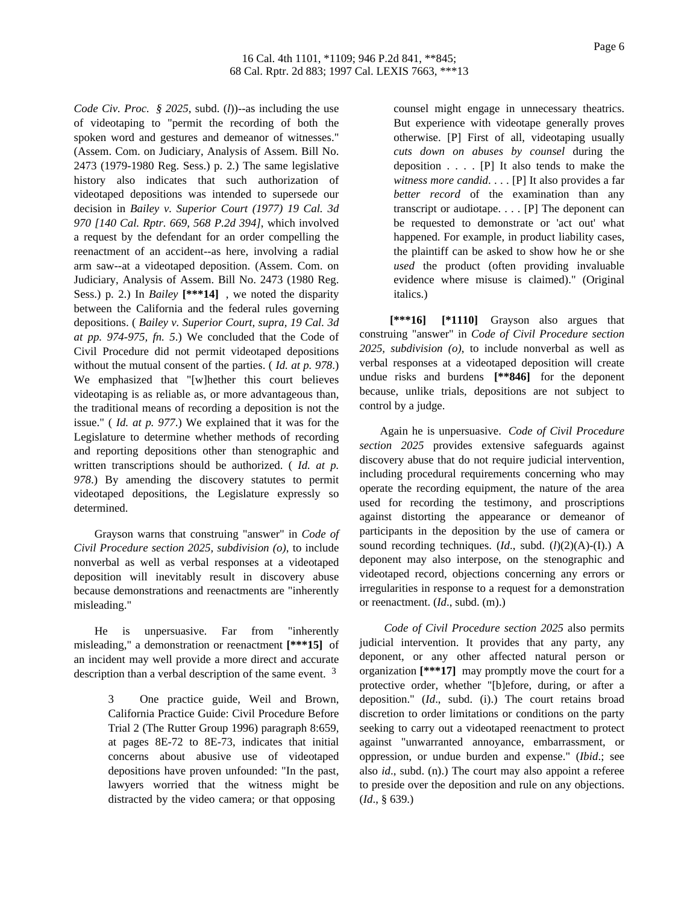*Code Civ. Proc. § 2025*, subd. (*l*))--as including the use of videotaping to "permit the recording of both the spoken word and gestures and demeanor of witnesses." (Assem. Com. on Judiciary, Analysis of Assem. Bill No. 2473 (1979-1980 Reg. Sess.) p. 2.) The same legislative history also indicates that such authorization of videotaped depositions was intended to supersede our decision in *Bailey v. Superior Court (1977) 19 Cal. 3d 970 [140 Cal. Rptr. 669, 568 P.2d 394]*, which involved a request by the defendant for an order compelling the reenactment of an accident--as here, involving a radial arm saw--at a videotaped deposition. (Assem. Com. on Judiciary, Analysis of Assem. Bill No. 2473 (1980 Reg. Sess.) p. 2.) In *Bailey* **[\*\*\*14]** , we noted the disparity between the California and the federal rules governing depositions. ( *Bailey v. Superior Court, supra, 19 Cal. 3d at pp. 974-975, fn. 5*.) We concluded that the Code of Civil Procedure did not permit videotaped depositions without the mutual consent of the parties. ( *Id. at p. 978*.) We emphasized that "[w]hether this court believes videotaping is as reliable as, or more advantageous than, the traditional means of recording a deposition is not the issue." ( *Id. at p. 977*.) We explained that it was for the Legislature to determine whether methods of recording and reporting depositions other than stenographic and written transcriptions should be authorized. ( *Id. at p. 978*.) By amending the discovery statutes to permit videotaped depositions, the Legislature expressly so determined.

Grayson warns that construing "answer" in *Code of Civil Procedure section 2025, subdivision (o)*, to include nonverbal as well as verbal responses at a videotaped deposition will inevitably result in discovery abuse because demonstrations and reenactments are "inherently misleading."

He is unpersuasive. Far from "inherently misleading," a demonstration or reenactment **[\*\*\*15]** of an incident may well provide a more direct and accurate description than a verbal description of the same event. <sup>3</sup>

> 3 One practice guide, Weil and Brown, California Practice Guide: Civil Procedure Before Trial 2 (The Rutter Group 1996) paragraph 8:659, at pages 8E-72 to 8E-73, indicates that initial concerns about abusive use of videotaped depositions have proven unfounded: "In the past, lawyers worried that the witness might be distracted by the video camera; or that opposing

counsel might engage in unnecessary theatrics. But experience with videotape generally proves otherwise. [P] First of all, videotaping usually *cuts down on abuses by counsel* during the deposition  $\ldots$  .  $[P]$  It also tends to make the *witness more candid*. . . . [P] It also provides a far *better record* of the examination than any transcript or audiotape. . . . [P] The deponent can be requested to demonstrate or 'act out' what happened. For example, in product liability cases, the plaintiff can be asked to show how he or she *used* the product (often providing invaluable evidence where misuse is claimed)." (Original italics.)

**[\*\*\*16] [\*1110]** Grayson also argues that construing "answer" in *Code of Civil Procedure section 2025, subdivision (o)*, to include nonverbal as well as verbal responses at a videotaped deposition will create undue risks and burdens **[\*\*846]** for the deponent because, unlike trials, depositions are not subject to control by a judge.

Again he is unpersuasive. *Code of Civil Procedure section 2025* provides extensive safeguards against discovery abuse that do not require judicial intervention, including procedural requirements concerning who may operate the recording equipment, the nature of the area used for recording the testimony, and proscriptions against distorting the appearance or demeanor of participants in the deposition by the use of camera or sound recording techniques. (*Id*., subd. (*l*)(2)(A)-(I).) A deponent may also interpose, on the stenographic and videotaped record, objections concerning any errors or irregularities in response to a request for a demonstration or reenactment. (*Id*., subd. (m).)

*Code of Civil Procedure section 2025* also permits judicial intervention. It provides that any party, any deponent, or any other affected natural person or organization **[\*\*\*17]** may promptly move the court for a protective order, whether "[b]efore, during, or after a deposition." (*Id*., subd. (i).) The court retains broad discretion to order limitations or conditions on the party seeking to carry out a videotaped reenactment to protect against "unwarranted annoyance, embarrassment, or oppression, or undue burden and expense." (*Ibid*.; see also *id*., subd. (n).) The court may also appoint a referee to preside over the deposition and rule on any objections. (*Id*., § 639.)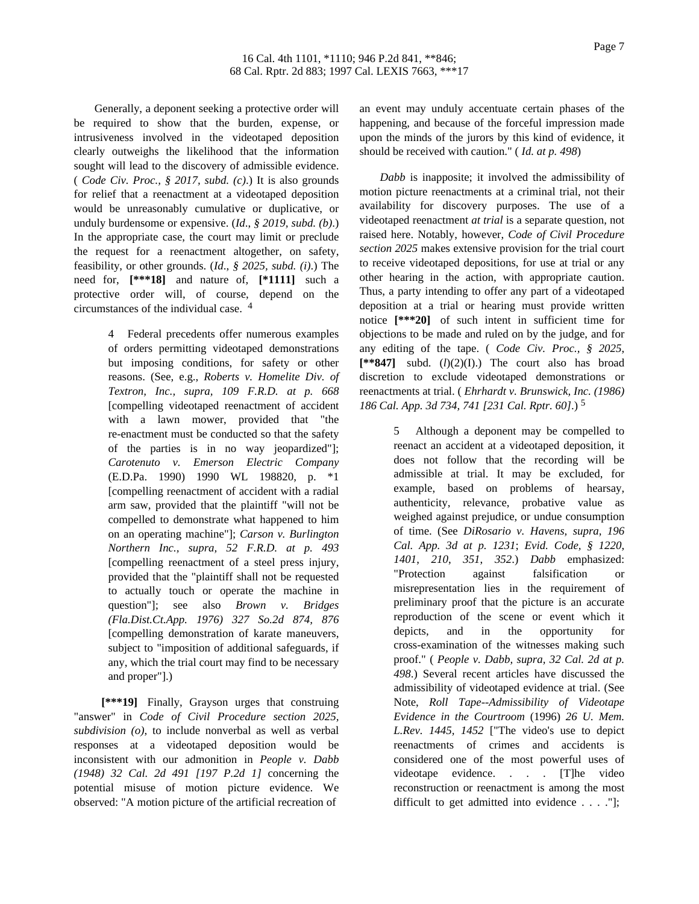Generally, a deponent seeking a protective order will be required to show that the burden, expense, or intrusiveness involved in the videotaped deposition clearly outweighs the likelihood that the information sought will lead to the discovery of admissible evidence. ( *Code Civ. Proc., § 2017, subd. (c)*.) It is also grounds for relief that a reenactment at a videotaped deposition would be unreasonably cumulative or duplicative, or unduly burdensome or expensive. (*Id*., *§ 2019, subd. (b)*.) In the appropriate case, the court may limit or preclude the request for a reenactment altogether, on safety, feasibility, or other grounds. (*Id*., *§ 2025, subd. (i)*.) The need for, **[\*\*\*18]** and nature of, **[\*1111]** such a protective order will, of course, depend on the circumstances of the individual case. 4

> 4 Federal precedents offer numerous examples of orders permitting videotaped demonstrations but imposing conditions, for safety or other reasons. (See, e.g., *Roberts v. Homelite Div. of Textron, Inc., supra, 109 F.R.D. at p. 668* [compelling videotaped reenactment of accident with a lawn mower, provided that "the re-enactment must be conducted so that the safety of the parties is in no way jeopardized"]; *Carotenuto v. Emerson Electric Company* (E.D.Pa. 1990) 1990 WL 198820, p. \*1 [compelling reenactment of accident with a radial arm saw, provided that the plaintiff "will not be compelled to demonstrate what happened to him on an operating machine"]; *Carson v. Burlington Northern Inc., supra, 52 F.R.D. at p. 493* [compelling reenactment of a steel press injury, provided that the "plaintiff shall not be requested to actually touch or operate the machine in question"]; see also *Brown v. Bridges (Fla.Dist.Ct.App. 1976) 327 So.2d 874, 876* [compelling demonstration of karate maneuvers, subject to "imposition of additional safeguards, if any, which the trial court may find to be necessary and proper"].)

**[\*\*\*19]** Finally, Grayson urges that construing "answer" in *Code of Civil Procedure section 2025, subdivision (o)*, to include nonverbal as well as verbal responses at a videotaped deposition would be inconsistent with our admonition in *People v. Dabb (1948) 32 Cal. 2d 491 [197 P.2d 1]* concerning the potential misuse of motion picture evidence. We observed: "A motion picture of the artificial recreation of

an event may unduly accentuate certain phases of the happening, and because of the forceful impression made upon the minds of the jurors by this kind of evidence, it should be received with caution." ( *Id. at p. 498*)

*Dabb* is inapposite; it involved the admissibility of motion picture reenactments at a criminal trial, not their availability for discovery purposes. The use of a videotaped reenactment *at trial* is a separate question, not raised here. Notably, however, *Code of Civil Procedure section 2025* makes extensive provision for the trial court to receive videotaped depositions, for use at trial or any other hearing in the action, with appropriate caution. Thus, a party intending to offer any part of a videotaped deposition at a trial or hearing must provide written notice **[\*\*\*20]** of such intent in sufficient time for objections to be made and ruled on by the judge, and for any editing of the tape. ( *Code Civ. Proc., § 2025*,  $[*\ast 847]$  subd.  $(l)(2)(I)$ .) The court also has broad discretion to exclude videotaped demonstrations or reenactments at trial. ( *Ehrhardt v. Brunswick, Inc. (1986) 186 Cal. App. 3d 734, 741 [231 Cal. Rptr. 60]*.) 5

> 5 Although a deponent may be compelled to reenact an accident at a videotaped deposition, it does not follow that the recording will be admissible at trial. It may be excluded, for example, based on problems of hearsay, authenticity, relevance, probative value as weighed against prejudice, or undue consumption of time. (See *DiRosario v. Havens, supra, 196 Cal. App. 3d at p. 1231*; *Evid. Code, § 1220*, *1401*, *210*, *351*, *352*.) *Dabb* emphasized: "Protection against falsification or misrepresentation lies in the requirement of preliminary proof that the picture is an accurate reproduction of the scene or event which it depicts, and in the opportunity for cross-examination of the witnesses making such proof." ( *People v. Dabb, supra, 32 Cal. 2d at p. 498*.) Several recent articles have discussed the admissibility of videotaped evidence at trial. (See Note, *Roll Tape--Admissibility of Videotape Evidence in the Courtroom* (1996) *26 U. Mem. L.Rev. 1445, 1452* ["The video's use to depict reenactments of crimes and accidents is considered one of the most powerful uses of videotape evidence. . . . [T]he video reconstruction or reenactment is among the most difficult to get admitted into evidence . . . . "];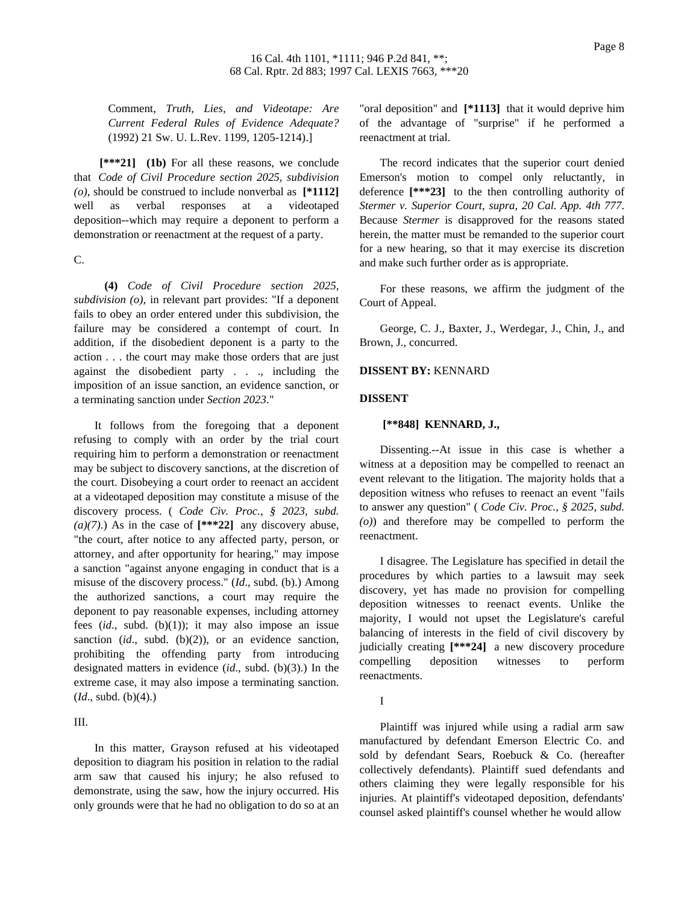Comment, *Truth, Lies, and Videotape: Are Current Federal Rules of Evidence Adequate?* (1992) 21 Sw. U. L.Rev. 1199, 1205-1214).]

**[\*\*\*21] (1b)** For all these reasons, we conclude that *Code of Civil Procedure section 2025, subdivision (o)*, should be construed to include nonverbal as **[\*1112]** well as verbal responses at a videotaped deposition--which may require a deponent to perform a demonstration or reenactment at the request of a party.

C.

**(4)** *Code of Civil Procedure section 2025, subdivision (o)*, in relevant part provides: "If a deponent fails to obey an order entered under this subdivision, the failure may be considered a contempt of court. In addition, if the disobedient deponent is a party to the action . . . the court may make those orders that are just against the disobedient party . . ., including the imposition of an issue sanction, an evidence sanction, or a terminating sanction under *Section 2023*."

It follows from the foregoing that a deponent refusing to comply with an order by the trial court requiring him to perform a demonstration or reenactment may be subject to discovery sanctions, at the discretion of the court. Disobeying a court order to reenact an accident at a videotaped deposition may constitute a misuse of the discovery process. ( *Code Civ. Proc., § 2023, subd. (a)(7)*.) As in the case of **[\*\*\*22]** any discovery abuse, "the court, after notice to any affected party, person, or attorney, and after opportunity for hearing," may impose a sanction "against anyone engaging in conduct that is a misuse of the discovery process." (*Id*., subd. (b).) Among the authorized sanctions, a court may require the deponent to pay reasonable expenses, including attorney fees (*id*., subd. (b)(1)); it may also impose an issue sanction (*id.*, subd. (b)(2)), or an evidence sanction, prohibiting the offending party from introducing designated matters in evidence (*id*., subd. (b)(3).) In the extreme case, it may also impose a terminating sanction. (*Id*., subd. (b)(4).)

# III.

In this matter, Grayson refused at his videotaped deposition to diagram his position in relation to the radial arm saw that caused his injury; he also refused to demonstrate, using the saw, how the injury occurred. His only grounds were that he had no obligation to do so at an

"oral deposition" and **[\*1113]** that it would deprive him of the advantage of "surprise" if he performed a reenactment at trial.

The record indicates that the superior court denied Emerson's motion to compel only reluctantly, in deference **[\*\*\*23]** to the then controlling authority of *Stermer v. Superior Court, supra, 20 Cal. App. 4th 777*. Because *Stermer* is disapproved for the reasons stated herein, the matter must be remanded to the superior court for a new hearing, so that it may exercise its discretion and make such further order as is appropriate.

For these reasons, we affirm the judgment of the Court of Appeal.

George, C. J., Baxter, J., Werdegar, J., Chin, J., and Brown, J., concurred.

#### **DISSENT BY:** KENNARD

## **DISSENT**

## **[\*\*848] KENNARD, J.,**

Dissenting.--At issue in this case is whether a witness at a deposition may be compelled to reenact an event relevant to the litigation. The majority holds that a deposition witness who refuses to reenact an event "fails to answer any question" ( *Code Civ. Proc., § 2025, subd. (o)*) and therefore may be compelled to perform the reenactment.

I disagree. The Legislature has specified in detail the procedures by which parties to a lawsuit may seek discovery, yet has made no provision for compelling deposition witnesses to reenact events. Unlike the majority, I would not upset the Legislature's careful balancing of interests in the field of civil discovery by judicially creating **[\*\*\*24]** a new discovery procedure compelling deposition witnesses to perform reenactments.

I

Plaintiff was injured while using a radial arm saw manufactured by defendant Emerson Electric Co. and sold by defendant Sears, Roebuck & Co. (hereafter collectively defendants). Plaintiff sued defendants and others claiming they were legally responsible for his injuries. At plaintiff's videotaped deposition, defendants' counsel asked plaintiff's counsel whether he would allow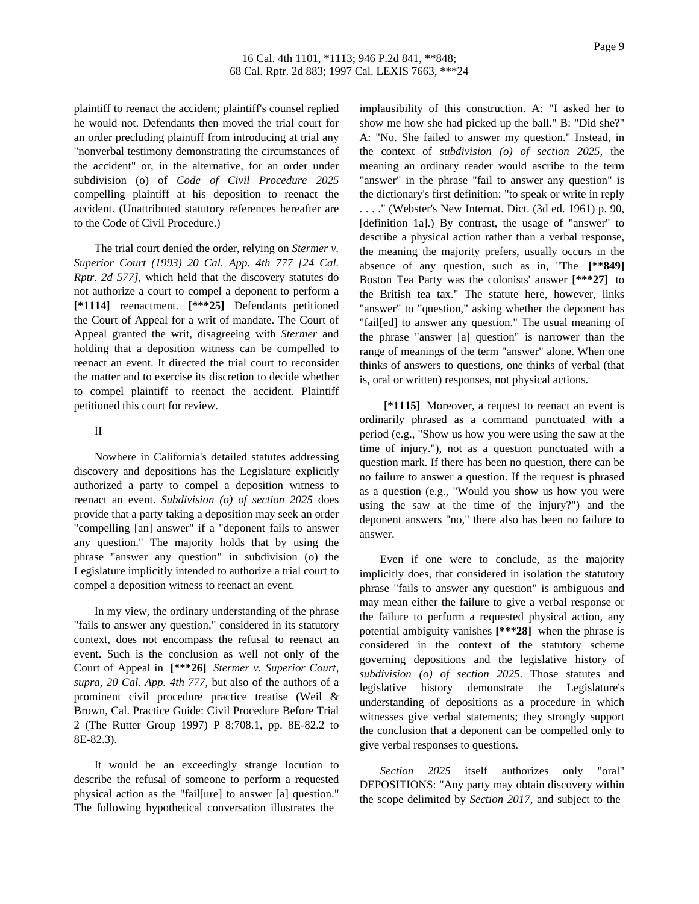plaintiff to reenact the accident; plaintiff's counsel replied he would not. Defendants then moved the trial court for an order precluding plaintiff from introducing at trial any "nonverbal testimony demonstrating the circumstances of the accident" or, in the alternative, for an order under subdivision (o) of *Code of Civil Procedure 2025* compelling plaintiff at his deposition to reenact the accident. (Unattributed statutory references hereafter are to the Code of Civil Procedure.)

The trial court denied the order, relying on *Stermer v. Superior Court (1993) 20 Cal. App. 4th 777 [24 Cal. Rptr. 2d 577]*, which held that the discovery statutes do not authorize a court to compel a deponent to perform a **[\*1114]** reenactment. **[\*\*\*25]** Defendants petitioned the Court of Appeal for a writ of mandate. The Court of Appeal granted the writ, disagreeing with *Stermer* and holding that a deposition witness can be compelled to reenact an event. It directed the trial court to reconsider the matter and to exercise its discretion to decide whether to compel plaintiff to reenact the accident. Plaintiff petitioned this court for review.

## II

Nowhere in California's detailed statutes addressing discovery and depositions has the Legislature explicitly authorized a party to compel a deposition witness to reenact an event. *Subdivision (o) of section 2025* does provide that a party taking a deposition may seek an order "compelling [an] answer" if a "deponent fails to answer any question." The majority holds that by using the phrase "answer any question" in subdivision (o) the Legislature implicitly intended to authorize a trial court to compel a deposition witness to reenact an event.

In my view, the ordinary understanding of the phrase "fails to answer any question," considered in its statutory context, does not encompass the refusal to reenact an event. Such is the conclusion as well not only of the Court of Appeal in **[\*\*\*26]** *Stermer v. Superior Court, supra, 20 Cal. App. 4th 777*, but also of the authors of a prominent civil procedure practice treatise (Weil & Brown, Cal. Practice Guide: Civil Procedure Before Trial 2 (The Rutter Group 1997) P 8:708.1, pp. 8E-82.2 to 8E-82.3).

It would be an exceedingly strange locution to describe the refusal of someone to perform a requested physical action as the "fail[ure] to answer [a] question." The following hypothetical conversation illustrates the

implausibility of this construction. A: "I asked her to show me how she had picked up the ball." B: "Did she?" A: "No. She failed to answer my question." Instead, in the context of *subdivision (o) of section 2025*, the meaning an ordinary reader would ascribe to the term "answer" in the phrase "fail to answer any question" is the dictionary's first definition: "to speak or write in reply . . . ." (Webster's New Internat. Dict. (3d ed. 1961) p. 90, [definition 1a].) By contrast, the usage of "answer" to describe a physical action rather than a verbal response, the meaning the majority prefers, usually occurs in the absence of any question, such as in, "The **[\*\*849]** Boston Tea Party was the colonists' answer **[\*\*\*27]** to the British tea tax." The statute here, however, links "answer" to "question," asking whether the deponent has "fail[ed] to answer any question." The usual meaning of the phrase "answer [a] question" is narrower than the range of meanings of the term "answer" alone. When one thinks of answers to questions, one thinks of verbal (that is, oral or written) responses, not physical actions.

**[\*1115]** Moreover, a request to reenact an event is ordinarily phrased as a command punctuated with a period (e.g., "Show us how you were using the saw at the time of injury."), not as a question punctuated with a question mark. If there has been no question, there can be no failure to answer a question. If the request is phrased as a question (e.g., "Would you show us how you were using the saw at the time of the injury?") and the deponent answers "no," there also has been no failure to answer.

Even if one were to conclude, as the majority implicitly does, that considered in isolation the statutory phrase "fails to answer any question" is ambiguous and may mean either the failure to give a verbal response or the failure to perform a requested physical action, any potential ambiguity vanishes **[\*\*\*28]** when the phrase is considered in the context of the statutory scheme governing depositions and the legislative history of *subdivision (o) of section 2025*. Those statutes and legislative history demonstrate the Legislature's understanding of depositions as a procedure in which witnesses give verbal statements; they strongly support the conclusion that a deponent can be compelled only to give verbal responses to questions.

*Section 2025* itself authorizes only "oral" DEPOSITIONS: "Any party may obtain discovery within the scope delimited by *Section 2017*, and subject to the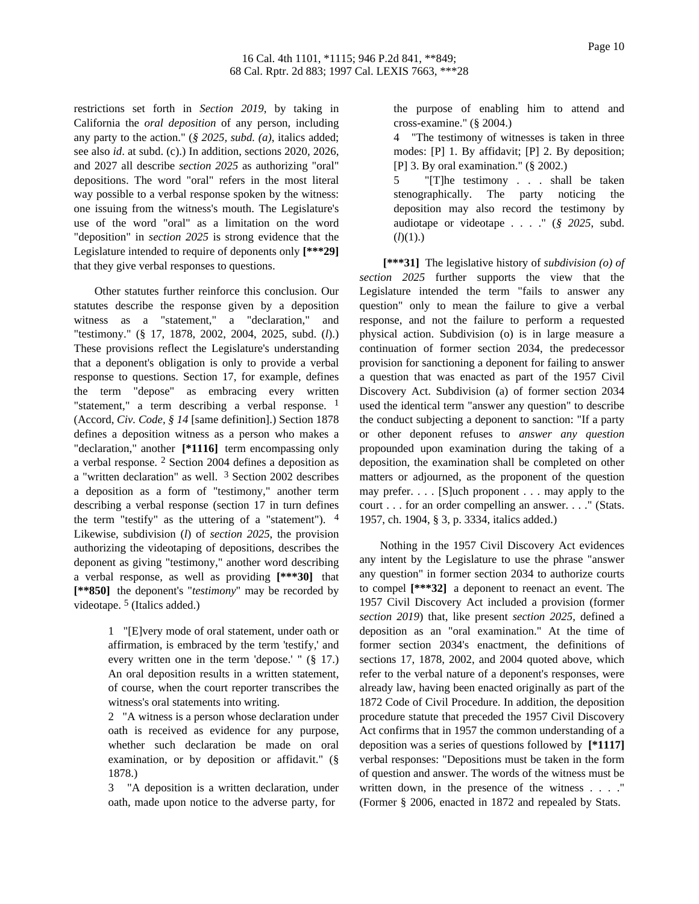restrictions set forth in *Section 2019*, by taking in California the *oral deposition* of any person, including any party to the action." (*§ 2025, subd. (a)*, italics added; see also *id*. at subd. (c).) In addition, sections 2020, 2026, and 2027 all describe *section 2025* as authorizing "oral" depositions. The word "oral" refers in the most literal way possible to a verbal response spoken by the witness: one issuing from the witness's mouth. The Legislature's use of the word "oral" as a limitation on the word "deposition" in *section 2025* is strong evidence that the Legislature intended to require of deponents only **[\*\*\*29]** that they give verbal responses to questions.

Other statutes further reinforce this conclusion. Our statutes describe the response given by a deposition witness as a "statement," a "declaration," and "testimony." (§ 17, 1878, 2002, 2004, 2025, subd. (*l*).) These provisions reflect the Legislature's understanding that a deponent's obligation is only to provide a verbal response to questions. Section 17, for example, defines the term "depose" as embracing every written "statement," a term describing a verbal response.  $1$ (Accord, *Civ. Code, § 14* [same definition].) Section 1878 defines a deposition witness as a person who makes a "declaration," another **[\*1116]** term encompassing only a verbal response. 2 Section 2004 defines a deposition as a "written declaration" as well.  $3$  Section 2002 describes a deposition as a form of "testimony," another term describing a verbal response (section 17 in turn defines the term "testify" as the uttering of a "statement").  $4$ Likewise, subdivision (*l*) of *section 2025*, the provision authorizing the videotaping of depositions, describes the deponent as giving "testimony," another word describing a verbal response, as well as providing **[\*\*\*30]** that **[\*\*850]** the deponent's "*testimony*" may be recorded by videotape. 5 (Italics added.)

> 1 "[E]very mode of oral statement, under oath or affirmation, is embraced by the term 'testify,' and every written one in the term 'depose.' " (§ 17.) An oral deposition results in a written statement, of course, when the court reporter transcribes the witness's oral statements into writing.

> 2 "A witness is a person whose declaration under oath is received as evidence for any purpose, whether such declaration be made on oral examination, or by deposition or affidavit." (§ 1878.)

> 3 "A deposition is a written declaration, under oath, made upon notice to the adverse party, for

the purpose of enabling him to attend and cross-examine." (§ 2004.)

4 "The testimony of witnesses is taken in three modes: [P] 1. By affidavit; [P] 2. By deposition; [P] 3. By oral examination." (§ 2002.)

5 "[T]he testimony . . . shall be taken stenographically. The party noticing the deposition may also record the testimony by audiotape or videotape . . . ." (*§ 2025*, subd.  $(l)(1)$ .)

**[\*\*\*31]** The legislative history of *subdivision (o) of section 2025* further supports the view that the Legislature intended the term "fails to answer any question" only to mean the failure to give a verbal response, and not the failure to perform a requested physical action. Subdivision (o) is in large measure a continuation of former section 2034, the predecessor provision for sanctioning a deponent for failing to answer a question that was enacted as part of the 1957 Civil Discovery Act. Subdivision (a) of former section 2034 used the identical term "answer any question" to describe the conduct subjecting a deponent to sanction: "If a party or other deponent refuses to *answer any question* propounded upon examination during the taking of a deposition, the examination shall be completed on other matters or adjourned, as the proponent of the question may prefer. . . . [S]uch proponent . . . may apply to the court . . . for an order compelling an answer. . . ." (Stats. 1957, ch. 1904, § 3, p. 3334, italics added.)

Nothing in the 1957 Civil Discovery Act evidences any intent by the Legislature to use the phrase "answer any question" in former section 2034 to authorize courts to compel **[\*\*\*32]** a deponent to reenact an event. The 1957 Civil Discovery Act included a provision (former *section 2019*) that, like present *section 2025*, defined a deposition as an "oral examination." At the time of former section 2034's enactment, the definitions of sections 17, 1878, 2002, and 2004 quoted above, which refer to the verbal nature of a deponent's responses, were already law, having been enacted originally as part of the 1872 Code of Civil Procedure. In addition, the deposition procedure statute that preceded the 1957 Civil Discovery Act confirms that in 1957 the common understanding of a deposition was a series of questions followed by **[\*1117]** verbal responses: "Depositions must be taken in the form of question and answer. The words of the witness must be written down, in the presence of the witness . . . . " (Former § 2006, enacted in 1872 and repealed by Stats.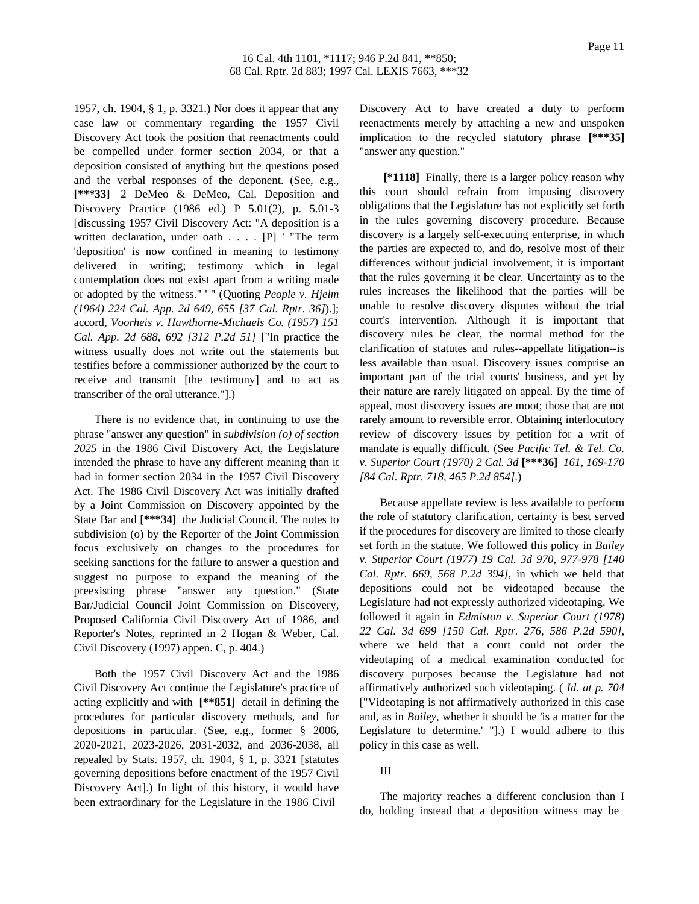1957, ch. 1904, § 1, p. 3321.) Nor does it appear that any case law or commentary regarding the 1957 Civil Discovery Act took the position that reenactments could be compelled under former section 2034, or that a deposition consisted of anything but the questions posed and the verbal responses of the deponent. (See, e.g., **[\*\*\*33]** 2 DeMeo & DeMeo, Cal. Deposition and Discovery Practice (1986 ed.) P 5.01(2), p. 5.01-3 [discussing 1957 Civil Discovery Act: "A deposition is a written declaration, under oath . . . . [P] ' "The term 'deposition' is now confined in meaning to testimony delivered in writing; testimony which in legal contemplation does not exist apart from a writing made or adopted by the witness." ' " (Quoting *People v. Hjelm (1964) 224 Cal. App. 2d 649, 655 [37 Cal. Rptr. 36]*).]; accord, *Voorheis v. Hawthorne-Michaels Co. (1957) 151 Cal. App. 2d 688, 692 [312 P.2d 51]* ["In practice the witness usually does not write out the statements but testifies before a commissioner authorized by the court to receive and transmit [the testimony] and to act as transcriber of the oral utterance."].)

There is no evidence that, in continuing to use the phrase "answer any question" in *subdivision (o) of section 2025* in the 1986 Civil Discovery Act, the Legislature intended the phrase to have any different meaning than it had in former section 2034 in the 1957 Civil Discovery Act. The 1986 Civil Discovery Act was initially drafted by a Joint Commission on Discovery appointed by the State Bar and **[\*\*\*34]** the Judicial Council. The notes to subdivision (o) by the Reporter of the Joint Commission focus exclusively on changes to the procedures for seeking sanctions for the failure to answer a question and suggest no purpose to expand the meaning of the preexisting phrase "answer any question." (State Bar/Judicial Council Joint Commission on Discovery, Proposed California Civil Discovery Act of 1986, and Reporter's Notes, reprinted in 2 Hogan & Weber, Cal. Civil Discovery (1997) appen. C, p. 404.)

Both the 1957 Civil Discovery Act and the 1986 Civil Discovery Act continue the Legislature's practice of acting explicitly and with **[\*\*851]** detail in defining the procedures for particular discovery methods, and for depositions in particular. (See, e.g., former § 2006, 2020-2021, 2023-2026, 2031-2032, and 2036-2038, all repealed by Stats. 1957, ch. 1904, § 1, p. 3321 [statutes governing depositions before enactment of the 1957 Civil Discovery Act].) In light of this history, it would have been extraordinary for the Legislature in the 1986 Civil

Discovery Act to have created a duty to perform reenactments merely by attaching a new and unspoken implication to the recycled statutory phrase **[\*\*\*35]** "answer any question."

**[\*1118]** Finally, there is a larger policy reason why this court should refrain from imposing discovery obligations that the Legislature has not explicitly set forth in the rules governing discovery procedure. Because discovery is a largely self-executing enterprise, in which the parties are expected to, and do, resolve most of their differences without judicial involvement, it is important that the rules governing it be clear. Uncertainty as to the rules increases the likelihood that the parties will be unable to resolve discovery disputes without the trial court's intervention. Although it is important that discovery rules be clear, the normal method for the clarification of statutes and rules--appellate litigation--is less available than usual. Discovery issues comprise an important part of the trial courts' business, and yet by their nature are rarely litigated on appeal. By the time of appeal, most discovery issues are moot; those that are not rarely amount to reversible error. Obtaining interlocutory review of discovery issues by petition for a writ of mandate is equally difficult. (See *Pacific Tel. & Tel. Co. v. Superior Court (1970) 2 Cal. 3d* **[\*\*\*36]** *161, 169-170 [84 Cal. Rptr. 718, 465 P.2d 854]*.)

Because appellate review is less available to perform the role of statutory clarification, certainty is best served if the procedures for discovery are limited to those clearly set forth in the statute. We followed this policy in *Bailey v. Superior Court (1977) 19 Cal. 3d 970, 977-978 [140 Cal. Rptr. 669, 568 P.2d 394]*, in which we held that depositions could not be videotaped because the Legislature had not expressly authorized videotaping. We followed it again in *Edmiston v. Superior Court (1978) 22 Cal. 3d 699 [150 Cal. Rptr. 276, 586 P.2d 590]*, where we held that a court could not order the videotaping of a medical examination conducted for discovery purposes because the Legislature had not affirmatively authorized such videotaping. ( *Id. at p. 704* ["Videotaping is not affirmatively authorized in this case and, as in *Bailey*, whether it should be 'is a matter for the Legislature to determine.' "].) I would adhere to this policy in this case as well.

## III

The majority reaches a different conclusion than I do, holding instead that a deposition witness may be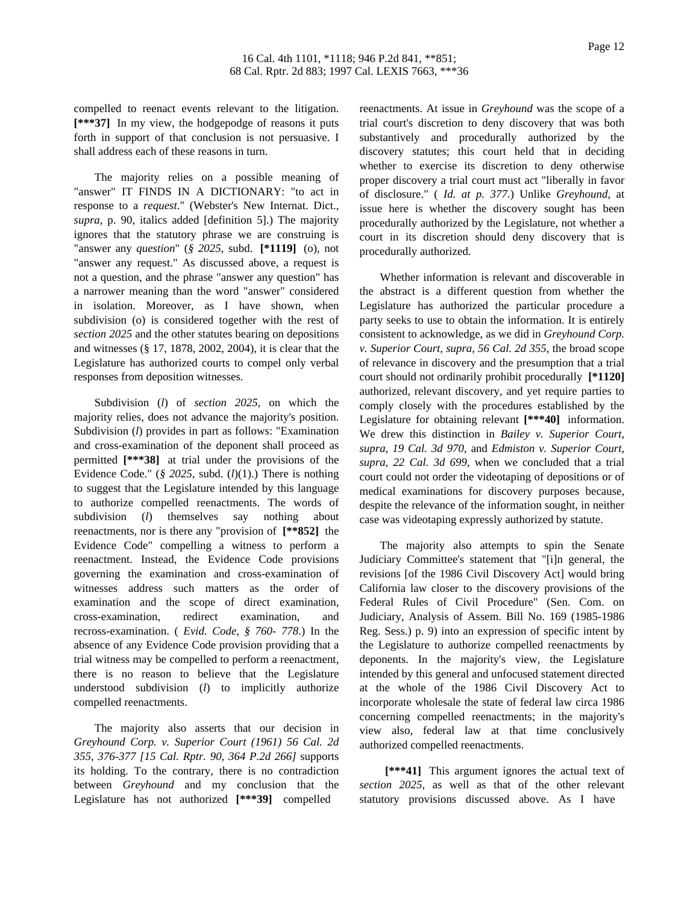compelled to reenact events relevant to the litigation. **[\*\*\*37]** In my view, the hodgepodge of reasons it puts forth in support of that conclusion is not persuasive. I shall address each of these reasons in turn.

The majority relies on a possible meaning of "answer" IT FINDS IN A DICTIONARY: "to act in response to a *request*." (Webster's New Internat. Dict., *supra*, p. 90, italics added [definition 5].) The majority ignores that the statutory phrase we are construing is "answer any *question*" (*§ 2025*, subd. **[\*1119]** (o), not "answer any request." As discussed above, a request is not a question, and the phrase "answer any question" has a narrower meaning than the word "answer" considered in isolation. Moreover, as I have shown, when subdivision (o) is considered together with the rest of *section 2025* and the other statutes bearing on depositions and witnesses (§ 17, 1878, 2002, 2004), it is clear that the Legislature has authorized courts to compel only verbal responses from deposition witnesses.

Subdivision (*l*) of *section 2025*, on which the majority relies, does not advance the majority's position. Subdivision (*l*) provides in part as follows: "Examination and cross-examination of the deponent shall proceed as permitted **[\*\*\*38]** at trial under the provisions of the Evidence Code." (*§ 2025*, subd. (*l*)(1).) There is nothing to suggest that the Legislature intended by this language to authorize compelled reenactments. The words of subdivision (*l*) themselves say nothing about reenactments, nor is there any "provision of **[\*\*852]** the Evidence Code" compelling a witness to perform a reenactment. Instead, the Evidence Code provisions governing the examination and cross-examination of witnesses address such matters as the order of examination and the scope of direct examination, cross-examination, redirect examination, and recross-examination. ( *Evid. Code, § 760- 778*.) In the absence of any Evidence Code provision providing that a trial witness may be compelled to perform a reenactment, there is no reason to believe that the Legislature understood subdivision (*l*) to implicitly authorize compelled reenactments.

The majority also asserts that our decision in *Greyhound Corp. v. Superior Court (1961) 56 Cal. 2d 355, 376-377 [15 Cal. Rptr. 90, 364 P.2d 266]* supports its holding. To the contrary, there is no contradiction between *Greyhound* and my conclusion that the Legislature has not authorized **[\*\*\*39]** compelled

reenactments. At issue in *Greyhound* was the scope of a trial court's discretion to deny discovery that was both substantively and procedurally authorized by the discovery statutes; this court held that in deciding whether to exercise its discretion to deny otherwise proper discovery a trial court must act "liberally in favor of disclosure." ( *Id. at p. 377*.) Unlike *Greyhound*, at issue here is whether the discovery sought has been procedurally authorized by the Legislature, not whether a court in its discretion should deny discovery that is procedurally authorized.

Whether information is relevant and discoverable in the abstract is a different question from whether the Legislature has authorized the particular procedure a party seeks to use to obtain the information. It is entirely consistent to acknowledge, as we did in *Greyhound Corp. v. Superior Court, supra, 56 Cal. 2d 355*, the broad scope of relevance in discovery and the presumption that a trial court should not ordinarily prohibit procedurally **[\*1120]** authorized, relevant discovery, and yet require parties to comply closely with the procedures established by the Legislature for obtaining relevant **[\*\*\*40]** information. We drew this distinction in *Bailey v. Superior Court, supra, 19 Cal. 3d 970*, and *Edmiston v. Superior Court, supra, 22 Cal. 3d 699*, when we concluded that a trial court could not order the videotaping of depositions or of medical examinations for discovery purposes because, despite the relevance of the information sought, in neither case was videotaping expressly authorized by statute.

The majority also attempts to spin the Senate Judiciary Committee's statement that "[i]n general, the revisions [of the 1986 Civil Discovery Act] would bring California law closer to the discovery provisions of the Federal Rules of Civil Procedure" (Sen. Com. on Judiciary, Analysis of Assem. Bill No. 169 (1985-1986 Reg. Sess.) p. 9) into an expression of specific intent by the Legislature to authorize compelled reenactments by deponents. In the majority's view, the Legislature intended by this general and unfocused statement directed at the whole of the 1986 Civil Discovery Act to incorporate wholesale the state of federal law circa 1986 concerning compelled reenactments; in the majority's view also, federal law at that time conclusively authorized compelled reenactments.

**[\*\*\*41]** This argument ignores the actual text of *section 2025*, as well as that of the other relevant statutory provisions discussed above. As I have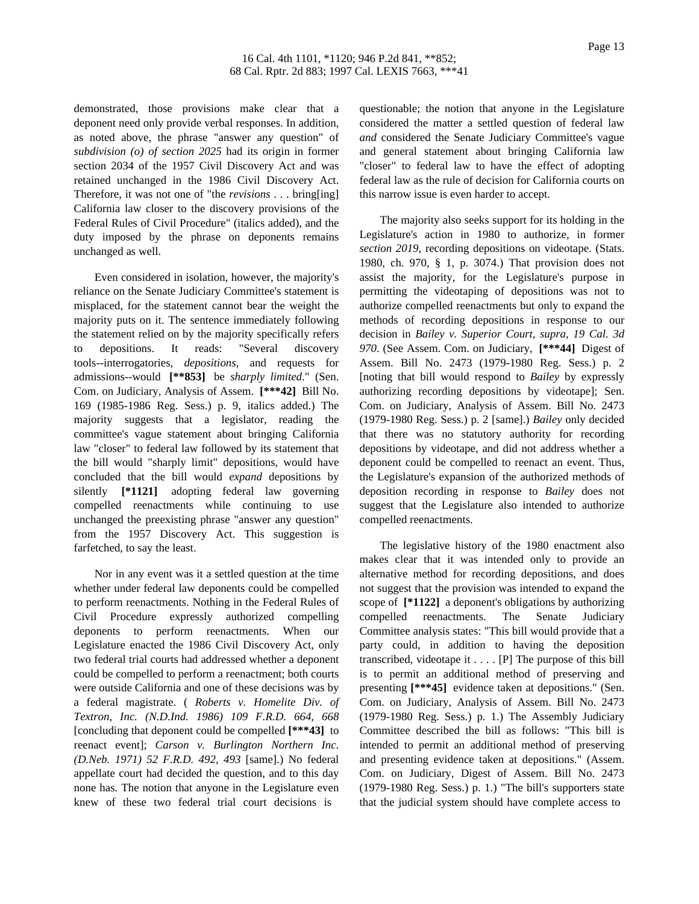demonstrated, those provisions make clear that a deponent need only provide verbal responses. In addition, as noted above, the phrase "answer any question" of *subdivision (o) of section 2025* had its origin in former section 2034 of the 1957 Civil Discovery Act and was retained unchanged in the 1986 Civil Discovery Act. Therefore, it was not one of "the *revisions* . . . bring[ing] California law closer to the discovery provisions of the Federal Rules of Civil Procedure" (italics added), and the duty imposed by the phrase on deponents remains unchanged as well.

Even considered in isolation, however, the majority's reliance on the Senate Judiciary Committee's statement is misplaced, for the statement cannot bear the weight the majority puts on it. The sentence immediately following the statement relied on by the majority specifically refers to depositions. It reads: "Several discovery tools--interrogatories, *depositions*, and requests for admissions--would **[\*\*853]** be *sharply limited*." (Sen. Com. on Judiciary, Analysis of Assem. **[\*\*\*42]** Bill No. 169 (1985-1986 Reg. Sess.) p. 9, italics added.) The majority suggests that a legislator, reading the committee's vague statement about bringing California law "closer" to federal law followed by its statement that the bill would "sharply limit" depositions, would have concluded that the bill would *expand* depositions by silently **[\*1121]** adopting federal law governing compelled reenactments while continuing to use unchanged the preexisting phrase "answer any question" from the 1957 Discovery Act. This suggestion is farfetched, to say the least.

Nor in any event was it a settled question at the time whether under federal law deponents could be compelled to perform reenactments. Nothing in the Federal Rules of Civil Procedure expressly authorized compelling deponents to perform reenactments. When our Legislature enacted the 1986 Civil Discovery Act, only two federal trial courts had addressed whether a deponent could be compelled to perform a reenactment; both courts were outside California and one of these decisions was by a federal magistrate. ( *Roberts v. Homelite Div. of Textron, Inc. (N.D.Ind. 1986) 109 F.R.D. 664, 668* [concluding that deponent could be compelled **[\*\*\*43]** to reenact event]; *Carson v. Burlington Northern Inc. (D.Neb. 1971) 52 F.R.D. 492, 493* [same].) No federal appellate court had decided the question, and to this day none has. The notion that anyone in the Legislature even knew of these two federal trial court decisions is

questionable; the notion that anyone in the Legislature considered the matter a settled question of federal law *and* considered the Senate Judiciary Committee's vague and general statement about bringing California law "closer" to federal law to have the effect of adopting federal law as the rule of decision for California courts on this narrow issue is even harder to accept.

The majority also seeks support for its holding in the Legislature's action in 1980 to authorize, in former *section 2019*, recording depositions on videotape. (Stats. 1980, ch. 970, § 1, p. 3074.) That provision does not assist the majority, for the Legislature's purpose in permitting the videotaping of depositions was not to authorize compelled reenactments but only to expand the methods of recording depositions in response to our decision in *Bailey v. Superior Court, supra, 19 Cal. 3d 970*. (See Assem. Com. on Judiciary, **[\*\*\*44]** Digest of Assem. Bill No. 2473 (1979-1980 Reg. Sess.) p. 2 [noting that bill would respond to *Bailey* by expressly authorizing recording depositions by videotape]; Sen. Com. on Judiciary, Analysis of Assem. Bill No. 2473 (1979-1980 Reg. Sess.) p. 2 [same].) *Bailey* only decided that there was no statutory authority for recording depositions by videotape, and did not address whether a deponent could be compelled to reenact an event. Thus, the Legislature's expansion of the authorized methods of deposition recording in response to *Bailey* does not suggest that the Legislature also intended to authorize compelled reenactments.

The legislative history of the 1980 enactment also makes clear that it was intended only to provide an alternative method for recording depositions, and does not suggest that the provision was intended to expand the scope of **[\*1122]** a deponent's obligations by authorizing compelled reenactments. The Senate Judiciary Committee analysis states: "This bill would provide that a party could, in addition to having the deposition transcribed, videotape it . . . . [P] The purpose of this bill is to permit an additional method of preserving and presenting **[\*\*\*45]** evidence taken at depositions." (Sen. Com. on Judiciary, Analysis of Assem. Bill No. 2473 (1979-1980 Reg. Sess.) p. 1.) The Assembly Judiciary Committee described the bill as follows: "This bill is intended to permit an additional method of preserving and presenting evidence taken at depositions." (Assem. Com. on Judiciary, Digest of Assem. Bill No. 2473 (1979-1980 Reg. Sess.) p. 1.) "The bill's supporters state that the judicial system should have complete access to